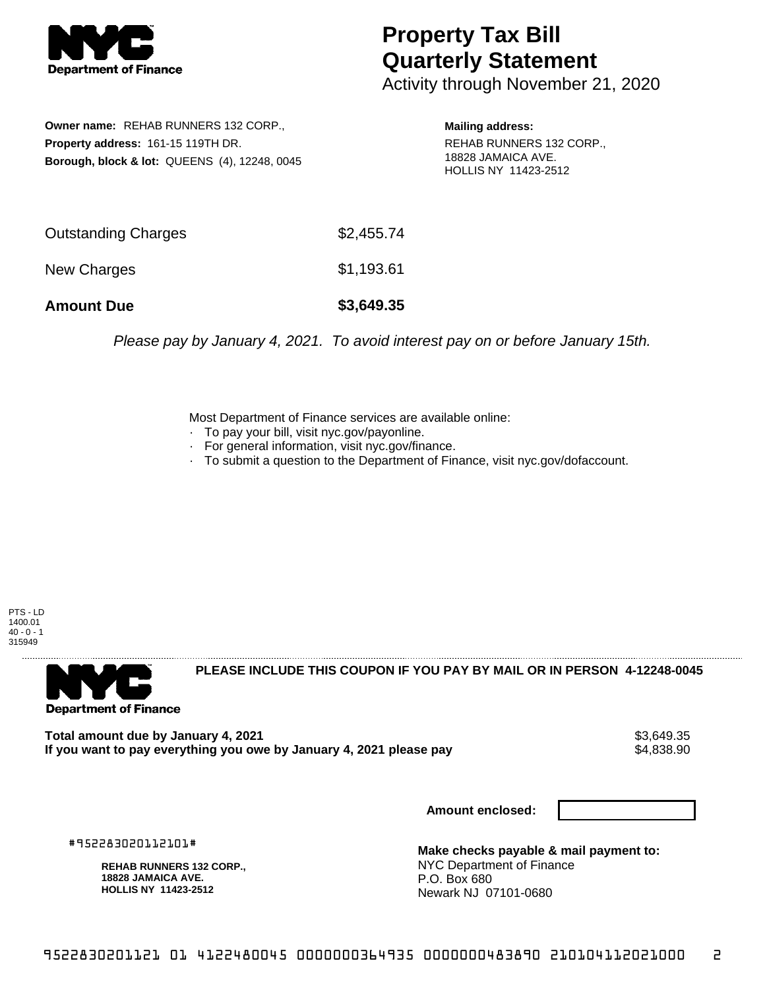

## **Property Tax Bill Quarterly Statement**

Activity through November 21, 2020

**Owner name:** REHAB RUNNERS 132 CORP., **Property address:** 161-15 119TH DR. **Borough, block & lot:** QUEENS (4), 12248, 0045

**Mailing address:** REHAB RUNNERS 132 CORP., 18828 JAMAICA AVE. HOLLIS NY 11423-2512

| <b>Amount Due</b>   | \$3,649.35 |
|---------------------|------------|
| New Charges         | \$1,193.61 |
| Outstanding Charges | \$2,455.74 |

Please pay by January 4, 2021. To avoid interest pay on or before January 15th.

Most Department of Finance services are available online:

- · To pay your bill, visit nyc.gov/payonline.
- For general information, visit nyc.gov/finance.
- · To submit a question to the Department of Finance, visit nyc.gov/dofaccount.

PTS - LD 1400.01  $40 - 0 - 1$ 315949



**PLEASE INCLUDE THIS COUPON IF YOU PAY BY MAIL OR IN PERSON 4-12248-0045** 

Total amount due by January 4, 2021<br>If you want to pay everything you owe by January 4, 2021 please pay **ship in the same of the set of the s**4,838.90 If you want to pay everything you owe by January 4, 2021 please pay

**Amount enclosed:**

#952283020112101#

**REHAB RUNNERS 132 CORP., 18828 JAMAICA AVE. HOLLIS NY 11423-2512**

**Make checks payable & mail payment to:** NYC Department of Finance P.O. Box 680 Newark NJ 07101-0680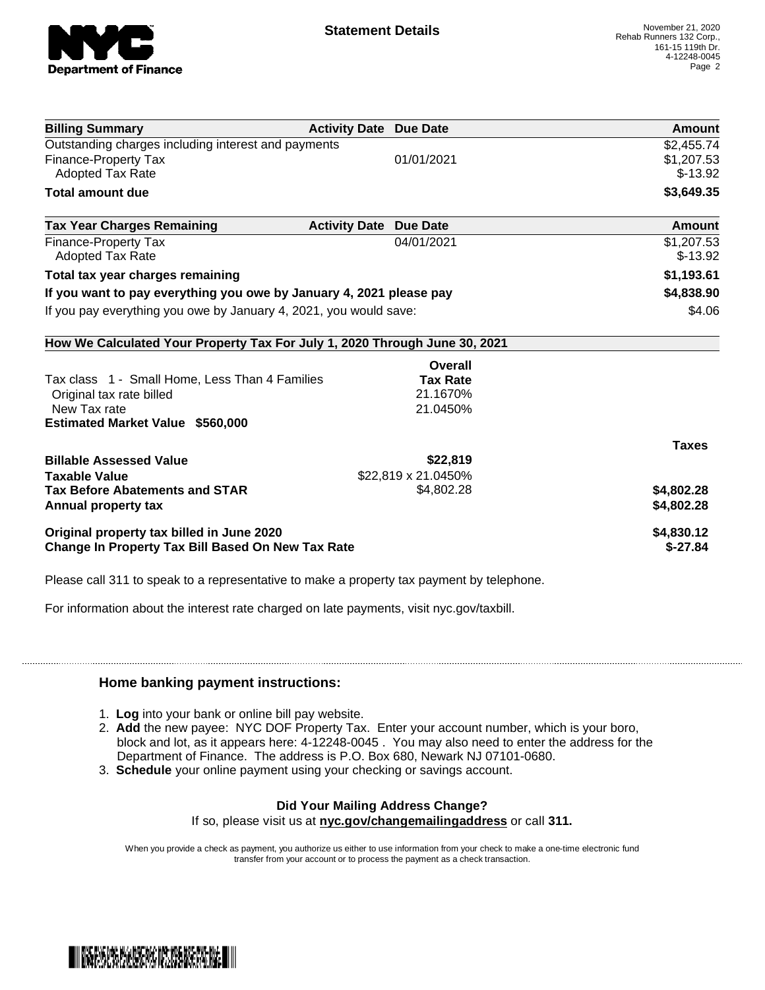

| <b>Billing Summary</b>                                                     | <b>Activity Date Due Date</b>           | Amount       |
|----------------------------------------------------------------------------|-----------------------------------------|--------------|
| Outstanding charges including interest and payments                        |                                         | \$2,455.74   |
| <b>Finance-Property Tax</b>                                                | 01/01/2021                              | \$1,207.53   |
| <b>Adopted Tax Rate</b>                                                    |                                         | $$-13.92$    |
| <b>Total amount due</b>                                                    |                                         | \$3,649.35   |
| <b>Tax Year Charges Remaining</b>                                          | <b>Activity Date</b><br><b>Due Date</b> | Amount       |
| Finance-Property Tax                                                       | 04/01/2021                              | \$1,207.53   |
| <b>Adopted Tax Rate</b>                                                    |                                         | $$-13.92$    |
| Total tax year charges remaining                                           |                                         | \$1,193.61   |
| If you want to pay everything you owe by January 4, 2021 please pay        |                                         | \$4,838.90   |
| If you pay everything you owe by January 4, 2021, you would save:          |                                         | \$4.06       |
| How We Calculated Your Property Tax For July 1, 2020 Through June 30, 2021 |                                         |              |
|                                                                            | Overall                                 |              |
| Tax class 1 - Small Home, Less Than 4 Families                             | <b>Tax Rate</b>                         |              |
| Original tax rate billed                                                   | 21.1670%                                |              |
| New Tax rate                                                               | 21.0450%                                |              |
| <b>Estimated Market Value \$560,000</b>                                    |                                         |              |
|                                                                            |                                         | <b>Taxes</b> |
| <b>Billable Assessed Value</b>                                             | \$22,819                                |              |
| <b>Taxable Value</b>                                                       | \$22,819 x 21.0450%                     |              |
| <b>Tax Before Abatements and STAR</b>                                      | \$4,802.28                              | \$4,802.28   |
| Annual property tax                                                        |                                         | \$4,802.28   |
| Original property tax billed in June 2020                                  |                                         | \$4,830.12   |
| <b>Change In Property Tax Bill Based On New Tax Rate</b>                   |                                         | $$-27.84$    |

Please call 311 to speak to a representative to make a property tax payment by telephone.

For information about the interest rate charged on late payments, visit nyc.gov/taxbill.

## **Home banking payment instructions:**

- 1. **Log** into your bank or online bill pay website.
- 2. **Add** the new payee: NYC DOF Property Tax. Enter your account number, which is your boro, block and lot, as it appears here: 4-12248-0045 . You may also need to enter the address for the Department of Finance. The address is P.O. Box 680, Newark NJ 07101-0680.
- 3. **Schedule** your online payment using your checking or savings account.

## **Did Your Mailing Address Change?**

If so, please visit us at **nyc.gov/changemailingaddress** or call **311.**

When you provide a check as payment, you authorize us either to use information from your check to make a one-time electronic fund transfer from your account or to process the payment as a check transaction.